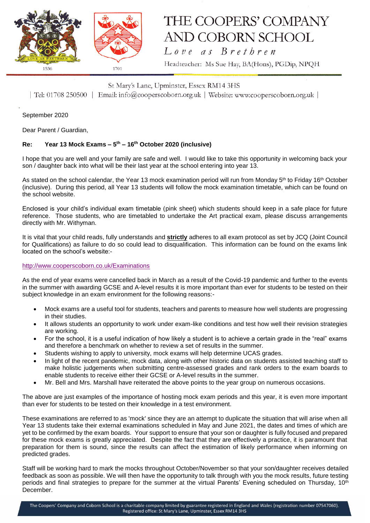

# THE COOPERS' COMPANY AND COBORN SCHOOL

Love as Brethren

Headteacher: Ms Sue Hay, BA(Hons), PGDip, NPQH

### St Mary's Lane, Upminster, Essex RM14 3HS

| Tel: 01708 250500 | Email: info@cooperscoborn.org.uk | Website: www.cooperscoborn.org.uk |

September 2020

Dear Parent / Guardian,

#### **Re: Year 13 Mock Exams – 5 th – 16th October 2020 (inclusive)**

I hope that you are well and your family are safe and well. I would like to take this opportunity in welcoming back your son / daughter back into what will be their last year at the school entering into year 13.

As stated on the school calendar, the Year 13 mock examination period will run from Monday 5<sup>th</sup> to Friday 16<sup>th</sup> October (inclusive). During this period, all Year 13 students will follow the mock examination timetable, which can be found on the school website.

Enclosed is your child's individual exam timetable (pink sheet) which students should keep in a safe place for future reference. Those students, who are timetabled to undertake the Art practical exam, please discuss arrangements directly with Mr. Withyman.

It is vital that your child reads, fully understands and **strictly** adheres to all exam protocol as set by JCQ (Joint Council for Qualifications) as failure to do so could lead to disqualification. This information can be found on the exams link located on the school's website:-

#### <http://www.cooperscoborn.co.uk/Examinations>

As the end of year exams were cancelled back in March as a result of the Covid-19 pandemic and further to the events in the summer with awarding GCSE and A-level results it is more important than ever for students to be tested on their subject knowledge in an exam environment for the following reasons:-

- Mock exams are a useful tool for students, teachers and parents to measure how well students are progressing in their studies.
- It allows students an opportunity to work under exam-like conditions and test how well their revision strategies are working.
- For the school, it is a useful indication of how likely a student is to achieve a certain grade in the "real" exams and therefore a benchmark on whether to review a set of results in the summer.
- Students wishing to apply to university, mock exams will help determine UCAS grades.
- In light of the recent pandemic, mock data, along with other historic data on students assisted teaching staff to make holistic judgements when submitting centre-assessed grades and rank orders to the exam boards to enable students to receive either their GCSE or A-level results in the summer.
- Mr. Bell and Mrs. Marshall have reiterated the above points to the year group on numerous occasions.

The above are just examples of the importance of hosting mock exam periods and this year, it is even more important than ever for students to be tested on their knowledge in a test environment.

These examinations are referred to as 'mock' since they are an attempt to duplicate the situation that will arise when all Year 13 students take their external examinations scheduled in May and June 2021, the dates and times of which are yet to be confirmed by the exam boards. Your support to ensure that your son or daughter is fully focused and prepared for these mock exams is greatly appreciated. Despite the fact that they are effectively a practice, it is paramount that preparation for them is sound, since the results can affect the estimation of likely performance when informing on predicted grades.

Staff will be working hard to mark the mocks throughout October/November so that your son/daughter receives detailed feedback as soon as possible. We will then have the opportunity to talk through with you the mock results, future testing periods and final strategies to prepare for the summer at the virtual Parents' Evening scheduled on Thursday,  $10<sup>th</sup>$ December.